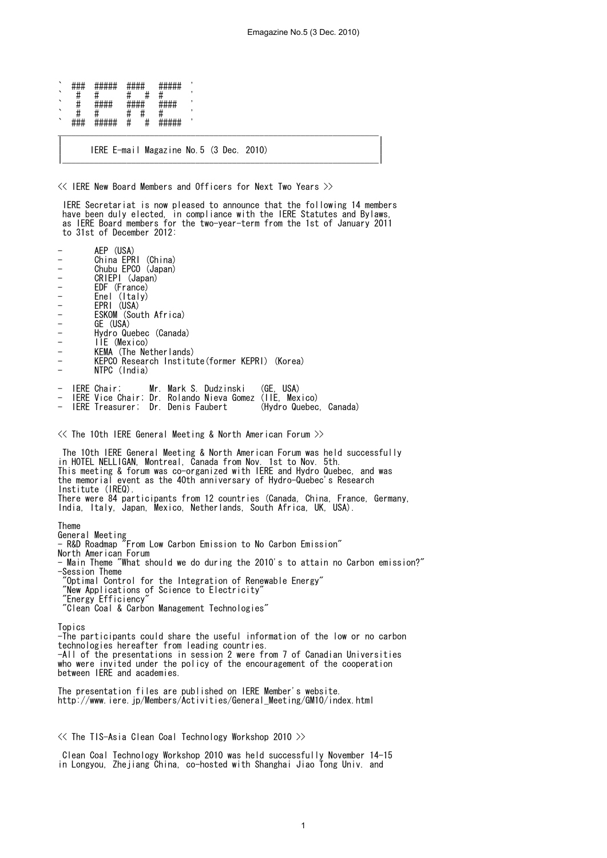` ### ##### #### ##### ' ` # # # # # ' \* ##### #####<br># # # # # # ` # # # # # ' ` ### ##### # # ##### ' \_\_\_\_\_\_\_\_\_\_\_\_\_\_\_\_\_\_\_\_\_\_\_\_\_\_\_\_\_\_\_\_\_\_\_\_\_\_\_\_\_\_\_\_\_\_\_\_\_\_\_\_\_\_\_\_\_\_\_\_\_\_\_\_\_\_\_\_\_\_ | | | IERE E-mail Magazine No.5 (3 Dec. 2010) |

|\_\_\_\_\_\_\_\_\_\_\_\_\_\_\_\_\_\_\_\_\_\_\_\_\_\_\_\_\_\_\_\_\_\_\_\_\_\_\_\_\_\_\_\_\_\_\_\_\_\_\_\_\_\_\_\_\_\_\_\_\_\_\_\_\_\_\_\_\_|

<< IERE New Board Members and Officers for Next Two Years >>

 IERE Secretariat is now pleased to announce that the following 14 members have been duly elected, in compliance with the IERE Statutes and Bylaws, as IERE Board members for the two-year-term from the 1st of January 2011 to 31st of December 2012:

- AEP (USA) - China EPRI (China) - Chubu EPCO (Japan) - CRIEPI (Japan) - EDF (France)<br>- Enel (Italy) - Enel (Italy) - EPRI (USA) - ESKOM (South Africa) - GE (USA) - Hydro Quebec (Canada)<br>- IIE (Mexico) - IIE (Mexico) KEMA (The Netherlands) KEPCO Research Institute(former KEPRI) (Korea) NTPC (India) - IERE Chair; Mr. Mark S. Dudzinski (GE, USA) - IERE Vice Chair; Dr. Rolando Nieva Gomez (IIE, Mexico) - IERE Treasurer; Dr. Denis Faubert (Hydro Quebec, Canada)  $\ll$  The 10th IERE General Meeting & North American Forum  $\gg$  The 10th IERE General Meeting & North American Forum was held successfully in HOTEL NELLIGAN, Montreal, Canada from Nov. 1st to Nov. 5th. This meeting & forum was co-organized with IERE and Hydro Quebec, and was the memorial event as the 40th anniversary of Hydro-Quebec's Research Institute (IREQ). There were 84 participants from 12 countries (Canada, China, France, Germany, India, Italy, Japan, Mexico, Netherlands, South Africa, UK, USA). Theme General Meeting - R&D Roadmap "From Low Carbon Emission to No Carbon Emission" North American Forum - Main Theme "What should we do during the 2010's to attain no Carbon emission?" -Session Theme

"Optimal Control for the Integration of Renewable Energy"

"New Applications of Science to Electricity"

'Energy Efficiency

"Clean Coal & Carbon Management Technologies"

Topics -The participants could share the useful information of the low or no carbon technologies hereafter from leading countries. -All of the presentations in session 2 were from 7 of Canadian Universities who were invited under the policy of the encouragement of the cooperation between IERE and academies.

The presentation files are published on IERE Member's website. http://www.iere.jp/Members/Activities/General\_Meeting/GM10/index.html

<< The TIS-Asia Clean Coal Technology Workshop 2010 >>

 Clean Coal Technology Workshop 2010 was held successfully November 14-15 in Longyou, Zhejiang China, co-hosted with Shanghai Jiao Tong Univ. and